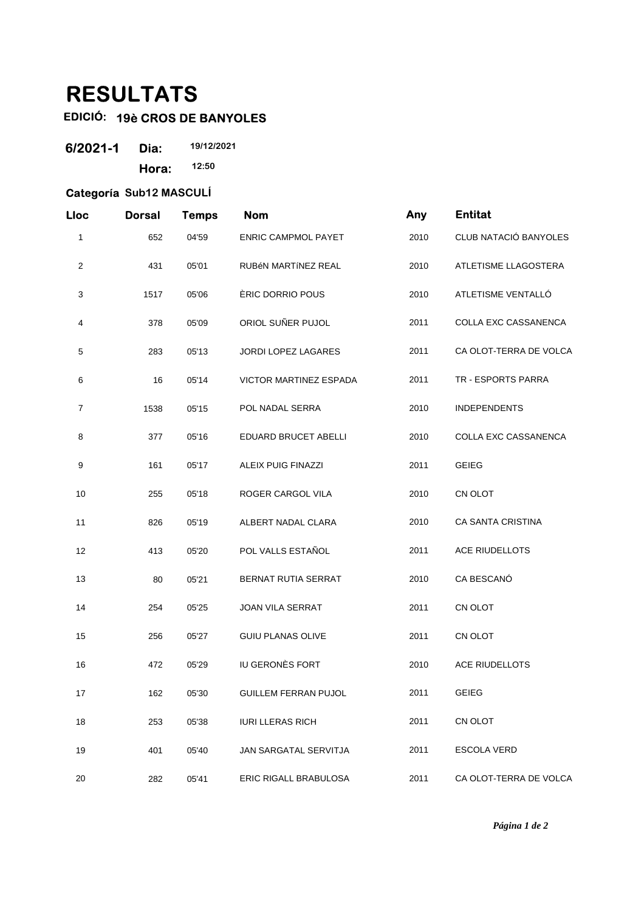## **RESULTATS**

## **EDICIÓ: 19è CROS DE BANYOLES**

| 6/2021-1 | Dia:  | 19/12/2021 |  |
|----------|-------|------------|--|
|          | Hora: | 12:50      |  |

## **Categoría Sub12 MASCULÍ**

| Lloc           | <b>Dorsal</b> | <b>Temps</b> | <b>Nom</b>                 | Any  | <b>Entitat</b>              |
|----------------|---------------|--------------|----------------------------|------|-----------------------------|
| 1              | 652           | 04'59        | <b>ENRIC CAMPMOL PAYET</b> | 2010 | CLUB NATACIÓ BANYOLES       |
| $\overline{c}$ | 431           | 05'01        | RUBÉN MARTÍNEZ REAL        | 2010 | ATLETISME LLAGOSTERA        |
| 3              | 1517          | 05'06        | ÈRIC DORRIO POUS           | 2010 | ATLETISME VENTALLÓ          |
| 4              | 378           | 05'09        | ORIOL SUÑER PUJOL          | 2011 | COLLA EXC CASSANENCA        |
| 5              | 283           | 05'13        | JORDI LOPEZ LAGARES        | 2011 | CA OLOT-TERRA DE VOLCA      |
| 6              | 16            | 05'14        | VICTOR MARTINEZ ESPADA     | 2011 | TR - ESPORTS PARRA          |
| $\overline{7}$ | 1538          | 05'15        | POL NADAL SERRA            | 2010 | <b>INDEPENDENTS</b>         |
| 8              | 377           | 05'16        | EDUARD BRUCET ABELLI       | 2010 | <b>COLLA EXC CASSANENCA</b> |
| 9              | 161           | 05'17        | <b>ALEIX PUIG FINAZZI</b>  | 2011 | <b>GEIEG</b>                |
| 10             | 255           | 05'18        | ROGER CARGOL VILA          | 2010 | CN OLOT                     |
| 11             | 826           | 05'19        | ALBERT NADAL CLARA         | 2010 | CA SANTA CRISTINA           |
| 12             | 413           | 05'20        | POL VALLS ESTAÑOL          | 2011 | <b>ACE RIUDELLOTS</b>       |
| 13             | 80            | 05'21        | BERNAT RUTIA SERRAT        | 2010 | CA BESCANÓ                  |
| 14             | 254           | 05'25        | <b>JOAN VILA SERRAT</b>    | 2011 | CN OLOT                     |
| 15             | 256           | 05'27        | <b>GUIU PLANAS OLIVE</b>   | 2011 | CN OLOT                     |
| 16             | 472           | 05'29        | IU GERONÈS FORT            | 2010 | ACE RIUDELLOTS              |
| 17             | 162           | 05'30        | GUILLEM FERRAN PUJOL       | 2011 | GEIEG                       |
| 18             | 253           | 05'38        | <b>IURI LLERAS RICH</b>    | 2011 | CN OLOT                     |
| 19             | 401           | 05'40        | JAN SARGATAL SERVITJA      | 2011 | ESCOLA VERD                 |
| 20             | 282           | 05'41        | ERIC RIGALL BRABULOSA      | 2011 | CA OLOT-TERRA DE VOLCA      |

*Página 1 de 2*